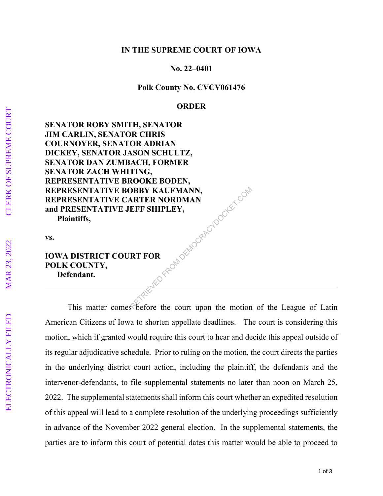## **IN THE SUPREME COURT OF IOWA**

## **No. 22–0401**

## **Polk County No. CVCV061476**

### **ORDER**

**SENATOR ROBY SMITH, SENATOR JIM CARLIN, SENATOR CHRIS COURNOYER, SENATOR ADRIAN DICKEY, SENATOR JASON SCHULTZ, SENATOR DAN ZUMBACH, FORMER SENATOR ZACH WHITING, REPRESENTATIVE BROOKE BODEN, REPRESENTATIVE BOBBY KAUFMANN, REPRESENTATIVE CARTER NORDMAN and PRESENTATIVE JEFF SHIPLEY, Plaintiffs,**  RED FROM DEMOCRACYDOCKET.COM

**vs.** 

# **IOWA DISTRICT COURT FOR POLK COUNTY, Defendant.**

 This matter comes before the court upon the motion of the League of Latin American Citizens of Iowa to shorten appellate deadlines. The court is considering this motion, which if granted would require this court to hear and decide this appeal outside of its regular adjudicative schedule. Prior to ruling on the motion, the court directs the parties in the underlying district court action, including the plaintiff, the defendants and the intervenor-defendants, to file supplemental statements no later than noon on March 25, 2022. The supplemental statements shall inform this court whether an expedited resolution of this appeal will lead to a complete resolution of the underlying proceedings sufficiently in advance of the November 2022 general election. In the supplemental statements, the parties are to inform this court of potential dates this matter would be able to proceed to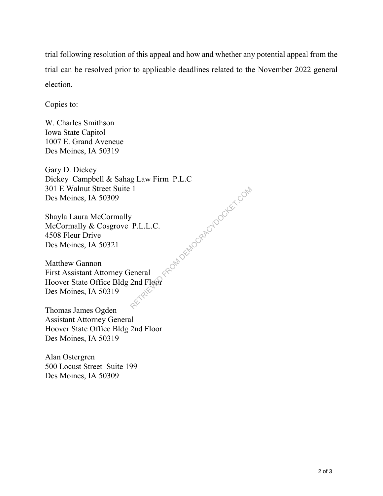trial following resolution of this appeal and how and whether any potential appeal from the trial can be resolved prior to applicable deadlines related to the November 2022 general election.

Copies to:

W. Charles Smithson Iowa State Capitol 1007 E. Grand Aveneue Des Moines, IA 50319

Gary D. Dickey Dickey Campbell & Sahag Law Firm P.L.C 301 E Walnut Street Suite 1 Des Moines, IA 50309 FROM DEMOCRACYDOCKET.COM

Shayla Laura McCormally McCormally & Cosgrove P.L.L.C. 4508 Fleur Drive Des Moines, IA 50321

Matthew Gannon First Assistant Attorney General Hoover State Office Bldg 2nd Floor Des Moines, IA 50319

Thomas James Ogden Assistant Attorney General Hoover State Office Bldg 2nd Floor Des Moines, IA 50319

Alan Ostergren 500 Locust Street Suite 199 Des Moines, IA 50309